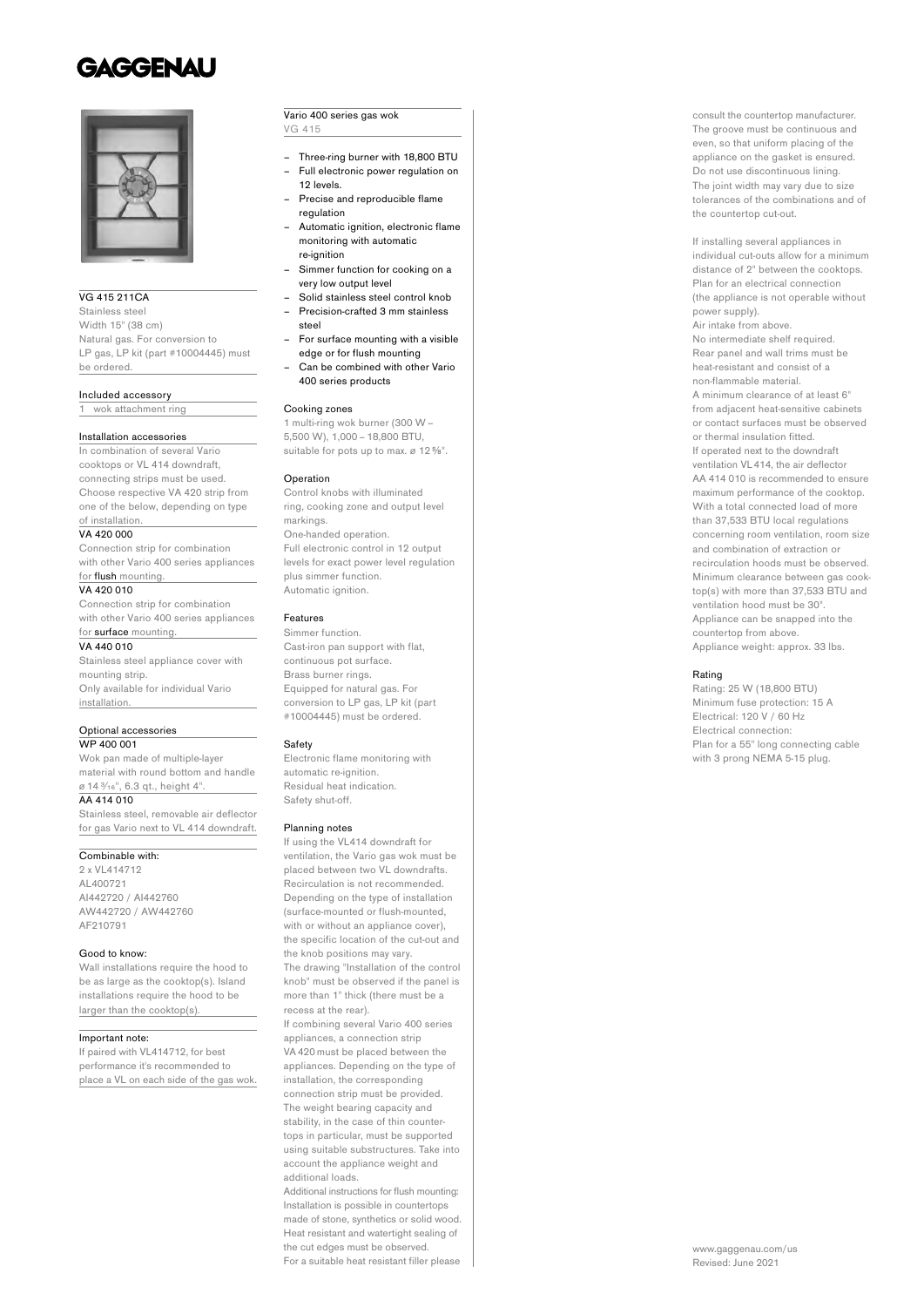# **GAGGENAU**



# VG 415 211CA

Stainless steel Width 15" (38 cm) Natural gas. For conversion to LP gas, LP kit (part #10004445) must be ordered.

## Included accessory

1 wok attachment ring

### Installation accessories

In combination of several Vario cooktops or VL 414 downdraft. connecting strips must be used. Choose respective VA 420 strip from one of the below, depending on type of installation.

#### VA 420,000

Connection strip for combination with other Vario 400 series appliances

### for *flush* mounting. VA 420 010

Connection strip for combination with other Vario 400 series appliances

#### for surface mounting. VA 440 010

Stainless steel appliance cover with mounting strip. Only available for individual Vario installation.

# Optional accessories

WP 400 001

Wok pan made of multiple-layer material with round bottom and handle ø 14 ³⁄₁₆", 6.3 qt., height 4". AA 414 010

Stainless steel, removable air deflector for gas Vario next to VL 414 downdraft.

# Combinable with:

2 x VL414712 AL400721 AI442720 / AI442760 AW442720 / AW442760 AF210791

# Good to know:

Wall installations require the hood to be as large as the cooktop(s). Island installations require the hood to be larger than the cooktop(s).

### Important note:

If paired with VL414712, for best performance it's recommended to place a VL on each side of the gas wok.

# Vario 400 series gas wok VG 415

- Three-ring burner with 18,800 BTU – Full electronic power regulation on
- 12 levels. – Precise and reproducible flame
- regulation – Automatic ignition, electronic flame
- monitoring with automatic re-ignition
- Simmer function for cooking on a very low output level
- Solid stainless steel control knob – Precision-crafted 3 mm stainless
- steel
- For surface mounting with a visible edge or for flush mounting
- Can be combined with other Vario 400 series products

### Cooking zones

1 multi-ring wok burner (300 W– 5,500 W), 1,000 – 18,800 BTU, suitable for pots up to max. ø 12<sup>5/<sub>8</sub>".</sup>

#### Operation

Control knobs with illuminated ring, cooking zone and output level markings. One-handed operation. Full electronic control in 12 output levels for exact power level regulation plus simmer function. Automatic ignition.

# Features

Simmer function. Cast-iron pan support with flat, continuous pot surface. Brass burner rings. Equipped for natural gas. For conversion to LP gas, LP kit (part #10004445) must be ordered.

#### Safety

Electronic flame monitoring with automatic re-ignition. Residual heat indication. Safety shut-off.

#### Planning notes

If using the VL414 downdraft for ventilation, the Vario gas wok must be placed between two VL downdrafts. Recirculation is not recommended. Depending on the type of installation (surface-mounted or flush-mounted, with or without an appliance cover), the specific location of the cut-out and the knob positions may vary. The drawing "Installation of the control knob" must be observed if the panel is more than 1" thick (there must be a recess at the rear).

If combining several Vario 400 series appliances, a connection strip VA 420 must be placed between the appliances. Depending on the type of installation, the corresponding connection strip must be provided. The weight bearing capacity and stability, in the case of thin countertops in particular, must be supported using suitable substructures. Take into account the appliance weight and additional loads.

Additional instructions for flush mounting: Installation is possible in countertops made of stone, synthetics or solid wood. Heat resistant and watertight sealing of the cut edges must be observed. For a suitable heat resistant filler please

consult the countertop manufacturer. The groove must be continuous and even, so that uniform placing of the appliance on the gasket is ensured. Do not use discontinuous lining. The joint width may vary due to size tolerances of the combinations and of the countertop cut-out.

If installing several appliances in individual cut-outs allow for a minimum distance of 2" between the cooktops. Plan for an electrical connection (the appliance is not operable without power supply). Air intake from above. No intermediate shelf required. Rear panel and wall trims must be heat-resistant and consist of a non-flammable material. A minimum clearance of at least 6" from adjacent heat-sensitive cabinets or contact surfaces must be observed or thermal insulation fitted. If operated next to the downdraft ventilation VL 414, the air deflector AA 414 010 is recommended to ensure maximum performance of the cooktop. With a total connected load of more than 37,533 BTU local regulations concerning room ventilation, room size and combination of extraction or recirculation hoods must be observed. Minimum clearance between gas cooktop(s) with more than 37,533 BTU and ventilation hood must be 30". Appliance can be snapped into the countertop from above. Appliance weight: approx. 33 lbs.

### Rating

Rating: 25 W (18,800 BTU) Minimum fuse protection: 15 A Electrical: 120 V / 60 Hz Electrical connection: Plan for a 55" long connecting cable with 3 prong NEMA 5-15 plug.